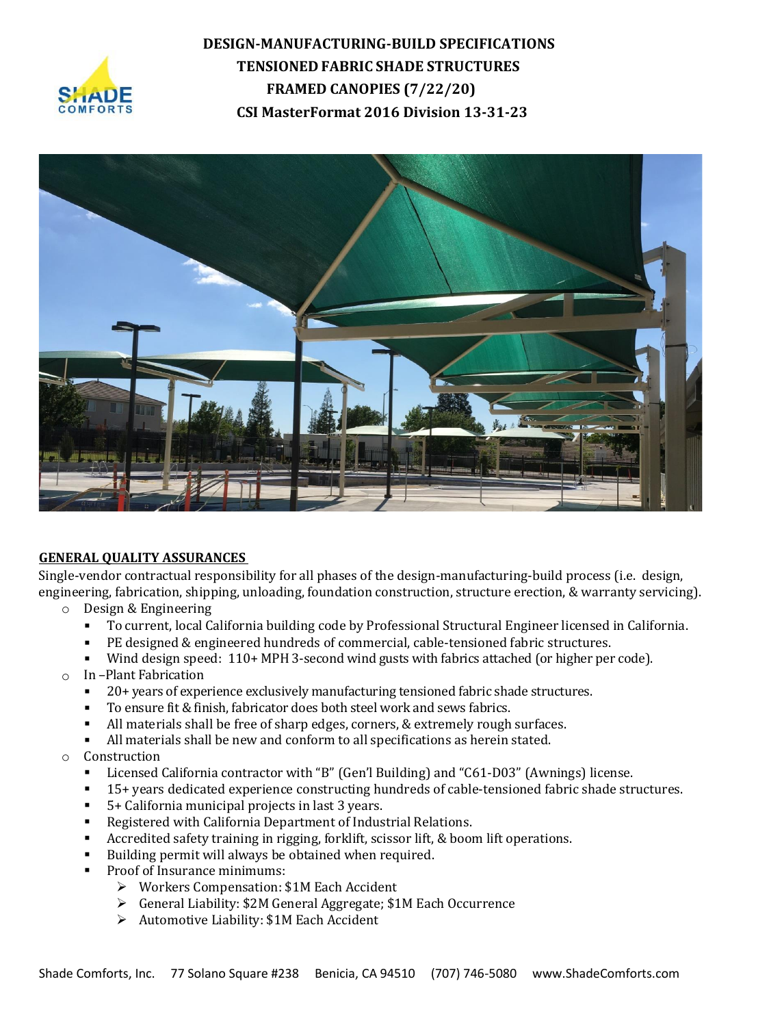



#### **GENERAL QUALITY ASSURANCES**

Single-vendor contractual responsibility for all phases of the design-manufacturing-build process (i.e. design, engineering, fabrication, shipping, unloading, foundation construction, structure erection, & warranty servicing).

- o Design & Engineering
	- To current, local California building code by Professional Structural Engineer licensed in California.
	- PE designed & engineered hundreds of commercial, cable-tensioned fabric structures.
	- Wind design speed: 110+ MPH 3-second wind gusts with fabrics attached (or higher per code).
- o In –Plant Fabrication
	- 20+ years of experience exclusively manufacturing tensioned fabric shade structures.
	- To ensure fit & finish, fabricator does both steel work and sews fabrics.
	- All materials shall be free of sharp edges, corners, & extremely rough surfaces.
	- All materials shall be new and conform to all specifications as herein stated.
- o Construction
	- Licensed California contractor with "B" (Gen'l Building) and "C61-D03" (Awnings) license.
	- 15+ years dedicated experience constructing hundreds of cable-tensioned fabric shade structures.
	- 5+ California municipal projects in last 3 years.
	- Registered with California Department of Industrial Relations.
	- Accredited safety training in rigging, forklift, scissor lift, & boom lift operations.
	- Building permit will always be obtained when required.
	- Proof of Insurance minimums:
		- ➢ Workers Compensation: \$1M Each Accident
		- ➢ General Liability: \$2M General Aggregate; \$1M Each Occurrence
		- ➢ Automotive Liability: \$1M Each Accident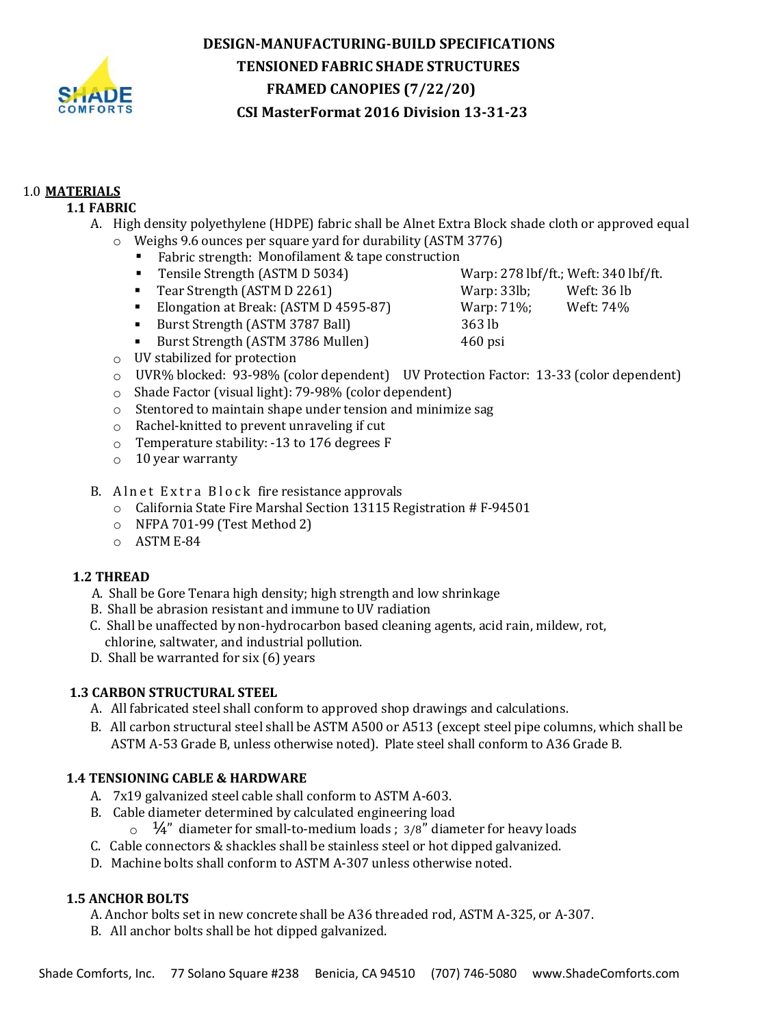

# 1.0 **MATERIALS**

# **1.1 FABRIC**

- A. High density polyethylene (HDPE) fabric shall be Alnet Extra Block shade cloth or approved equal
	- o Weighs 9.6 ounces per square yard for durability (ASTM 3776)
		- Fabric strength: Monofilament & tape construction
		- Tensile Strength (ASTM D 5034) Warp: 278 lbf/ft.; Weft: 340 lbf/ft.
		- Tear Strength (ASTM D 2261) Warp: 33lb; Weft: 36 lb
		- Elongation at Break: (ASTM D 4595-87) Warp: 71%; Weft: 74%
		- Burst Strength (ASTM 3787 Ball) 363 lb
		- Burst Strength (ASTM 3786 Mullen) 460 psi
	- o UV stabilized for protection
	- o UVR% blocked: 93-98% (color dependent) UV Protection Factor: 13-33 (color dependent)
	- o Shade Factor (visual light): 79-98% (color dependent)
	- $\circ$  Stentored to maintain shape under tension and minimize sag
	- o Rachel-knitted to prevent unraveling if cut
	- o Temperature stability: -13 to 176 degrees F
	- $\circ$  10 year warranty
- B. Alnet Extra Block fire resistance approvals
	- o California State Fire Marshal Section 13115 Registration # F-94501
	- o NFPA 701-99 (Test Method 2)
	- o ASTM E-84

## **1.2 THREAD**

- A. Shall be Gore Tenara high density; high strength and low shrinkage
- B. Shall be abrasion resistant and immune to UV radiation
- C. Shall be unaffected by non-hydrocarbon based cleaning agents, acid rain, mildew, rot, chlorine, saltwater, and industrial pollution.
- D. Shall be warranted for six (6) years

## **1.3 CARBON STRUCTURAL STEEL**

- A. All fabricated steel shall conform to approved shop drawings and calculations.
- B. All carbon structural steel shall be ASTM A500 or A513 (except steel pipe columns, which shall be ASTM A-53 Grade B, unless otherwise noted). Plate steel shall conform to A36 Grade B.

## **1.4 TENSIONING CABLE & HARDWARE**

- A. 7x19 galvanized steel cable shall conform to ASTM A-603.
- B. Cable diameter determined by calculated engineering load
	- $\circ$   $\frac{1}{4}$ " diameter for small-to-medium loads; 3/8" diameter for heavy loads
- C. Cable connectors & shackles shall be stainless steel or hot dipped galvanized.
- D. Machine bolts shall conform to ASTM A-307 unless otherwise noted.

## **1.5 ANCHOR BOLTS**

- A. Anchor bolts set in new concrete shall be A36 threaded rod, ASTM A-325, or A-307.
- B. All anchor bolts shall be hot dipped galvanized.
- -
- 
-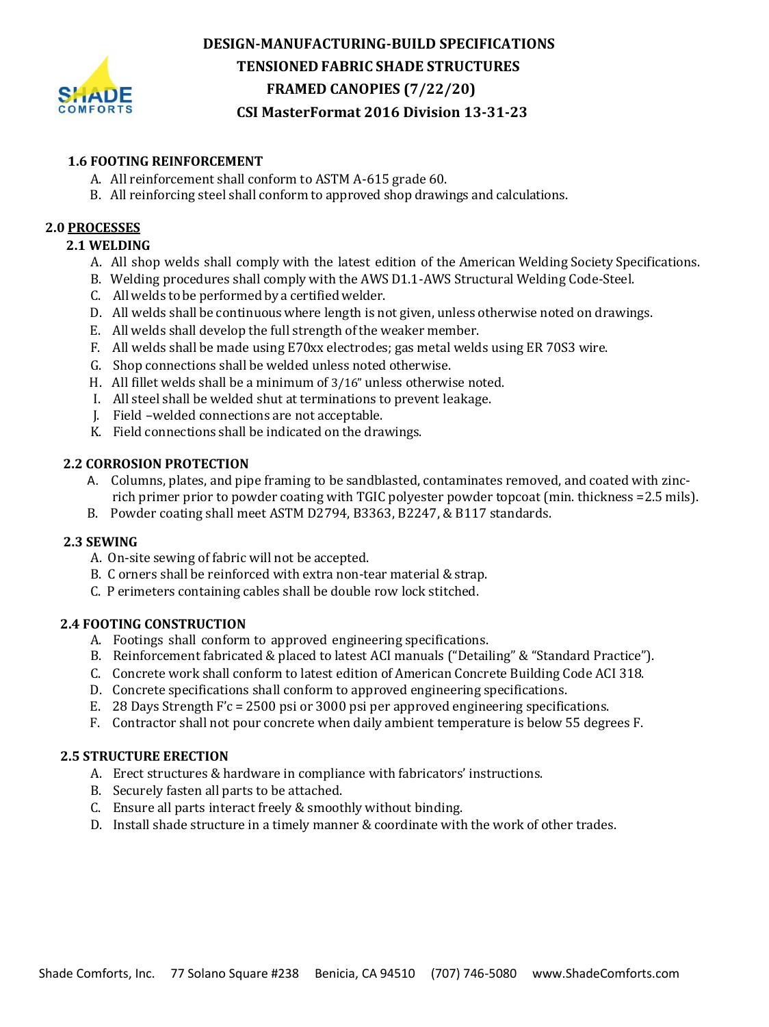

### **1.6 FOOTING REINFORCEMENT**

- A. All reinforcement shall conform to ASTM A-615 grade 60.
- B. All reinforcing steel shall conform to approved shop drawings and calculations.

### **2.0 PROCESSES**

### **2.1 WELDING**

- A. All shop welds shall comply with the latest edition of the American Welding Society Specifications.
- B. Welding procedures shall comply with the AWS D1.1-AWS Structural Welding Code-Steel.
- C. All welds to be performed bya certifiedwelder.
- D. All welds shall be continuouswhere length is not given, unless otherwise noted on drawings.
- E. All welds shall develop the full strength of the weaker member.
- F. All welds shall be made using E70xx electrodes; gas metal welds using ER 70S3 wire.
- G. Shop connections shall be welded unless noted otherwise.
- H. All fillet welds shall be a minimum of 3/16" unless otherwise noted.
- I. All steel shall be welded shut at terminations to prevent leakage.
- J. Field –welded connections are not acceptable.
- K. Field connections shall be indicated on the drawings.

### **2.2 CORROSION PROTECTION**

- A. Columns, plates, and pipe framing to be sandblasted, contaminates removed, and coated with zincrich primer prior to powder coating with TGIC polyester powder topcoat (min. thickness =2.5 mils).
- B. Powder coating shall meet ASTM D2794, B3363, B2247, & B117 standards.

#### **2.3 SEWING**

- A. On-site sewing of fabric will not be accepted.
- B. C orners shall be reinforced with extra non-tear material & strap.
- C. P erimeters containing cables shall be double row lock stitched.

#### **2.4 FOOTING CONSTRUCTION**

- A. Footings shall conform to approved engineering specifications.
- B. Reinforcement fabricated & placed to latest ACI manuals ("Detailing" & "Standard Practice").
- C. Concrete work shall conform to latest edition of American Concrete Building Code ACI 318.
- D. Concrete specifications shall conform to approved engineering specifications.
- E. 28 Days Strength F'c = 2500 psi or 3000 psi per approved engineering specifications.
- F. Contractor shall not pour concrete when daily ambient temperature is below 55 degrees F.

#### **2.5 STRUCTURE ERECTION**

- A. Erect structures & hardware in compliance with fabricators' instructions.
- B. Securely fasten all parts to be attached.
- C. Ensure all parts interact freely & smoothly without binding.
- D. Install shade structure in a timely manner & coordinate with the work of other trades.